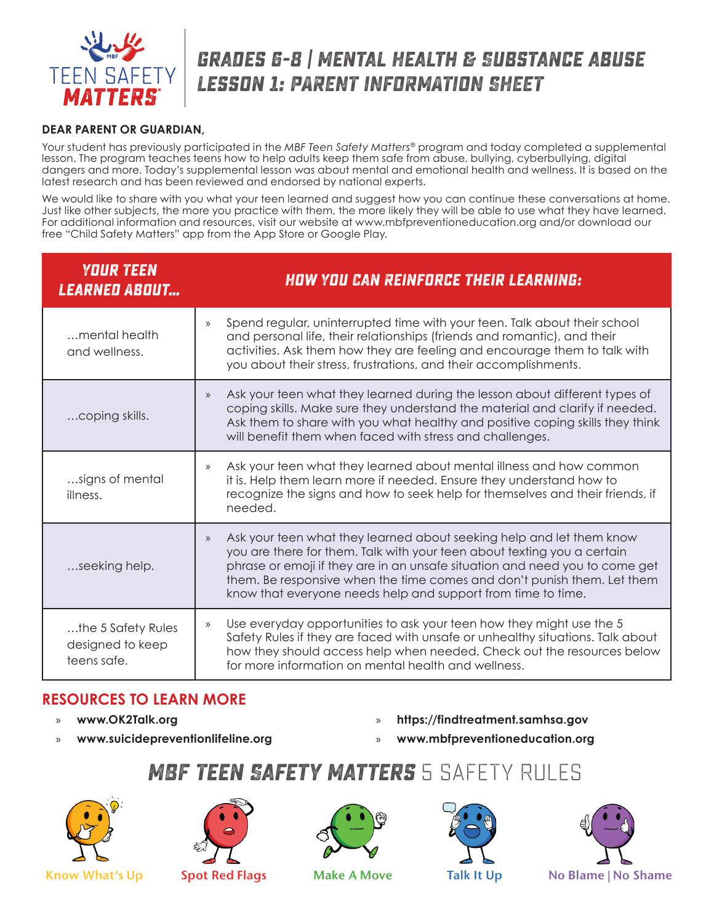

# **grades 6-8 | Mental Health & Substance abUse Lesson 1: PARENT INFORMATION SHEET**

#### **DEAR PARENT OR GUARDIAN,**

Your student has previously participated in the *MBF Teen Safety Matters®* program and today completed a supplemental lesson. The program teaches teens how to help adults keep them safe from abuse, bullying, cyberbullying, digital dangers and more. Today's supplemental lesson was about mental and emotional health and wellness. It is based on the latest research and has been reviewed and endorsed by national experts.

We would like to share with you what your teen learned and suggest how you can continue these conversations at home. Just like other subjects, the more you practice with them, the more likely they will be able to use what they have learned. For additional information and resources, visit our website at www.mbfpreventioneducation.org and/or download our free "Child Safety Matters" app from the App Store or Google Play.

| <b>YOUR TEEN</b><br><u>LEARNED ABOUT</u>              | <b>HOW YOU CAN REINFORCE THEIR LEARNING:</b>                                                                                                                                                                                                                                                                                                                                                    |
|-------------------------------------------------------|-------------------------------------------------------------------------------------------------------------------------------------------------------------------------------------------------------------------------------------------------------------------------------------------------------------------------------------------------------------------------------------------------|
| mental health<br>and wellness.                        | Spend regular, uninterrupted time with your teen. Talk about their school<br>$\mathcal{Y}$<br>and personal life, their relationships (friends and romantic), and their<br>activities. Ask them how they are feeling and encourage them to talk with<br>you about their stress, frustrations, and their accomplishments.                                                                         |
| coping skills.                                        | Ask your teen what they learned during the lesson about different types of<br>$\mathcal{V}$<br>coping skills. Make sure they understand the material and clarify if needed.<br>Ask them to share with you what healthy and positive coping skills they think<br>will benefit them when faced with stress and challenges.                                                                        |
| signs of mental<br>illness.                           | Ask your teen what they learned about mental illness and how common<br>$\rangle$<br>it is. Help them learn more if needed. Ensure they understand how to<br>recognize the signs and how to seek help for themselves and their friends, if<br>needed.                                                                                                                                            |
| seeking help.                                         | Ask your teen what they learned about seeking help and let them know<br>$\rangle\!\rangle$<br>you are there for them. Talk with your teen about texting you a certain<br>phrase or emoji if they are in an unsafe situation and need you to come get<br>them. Be responsive when the time comes and don't punish them. Let them<br>know that everyone needs help and support from time to time. |
| the 5 Safety Rules<br>designed to keep<br>teens safe. | Use everyday opportunities to ask your teen how they might use the 5<br>$\mathcal{Y}$<br>Safety Rules if they are faced with unsafe or unhealthy situations. Talk about<br>how they should access help when needed. Check out the resources below<br>for more information on mental health and wellness.                                                                                        |

### **RESOURCES TO LEARN MORE**

- » **www.OK2Talk.org**
- » **www.suicidepreventionlifeline.org**
- » **https://findtreatment.samhsa.gov**
- » **www.mbfpreventioneducation.org**

## **MBF Teen Safety Matters** 5 SAFETY RULES